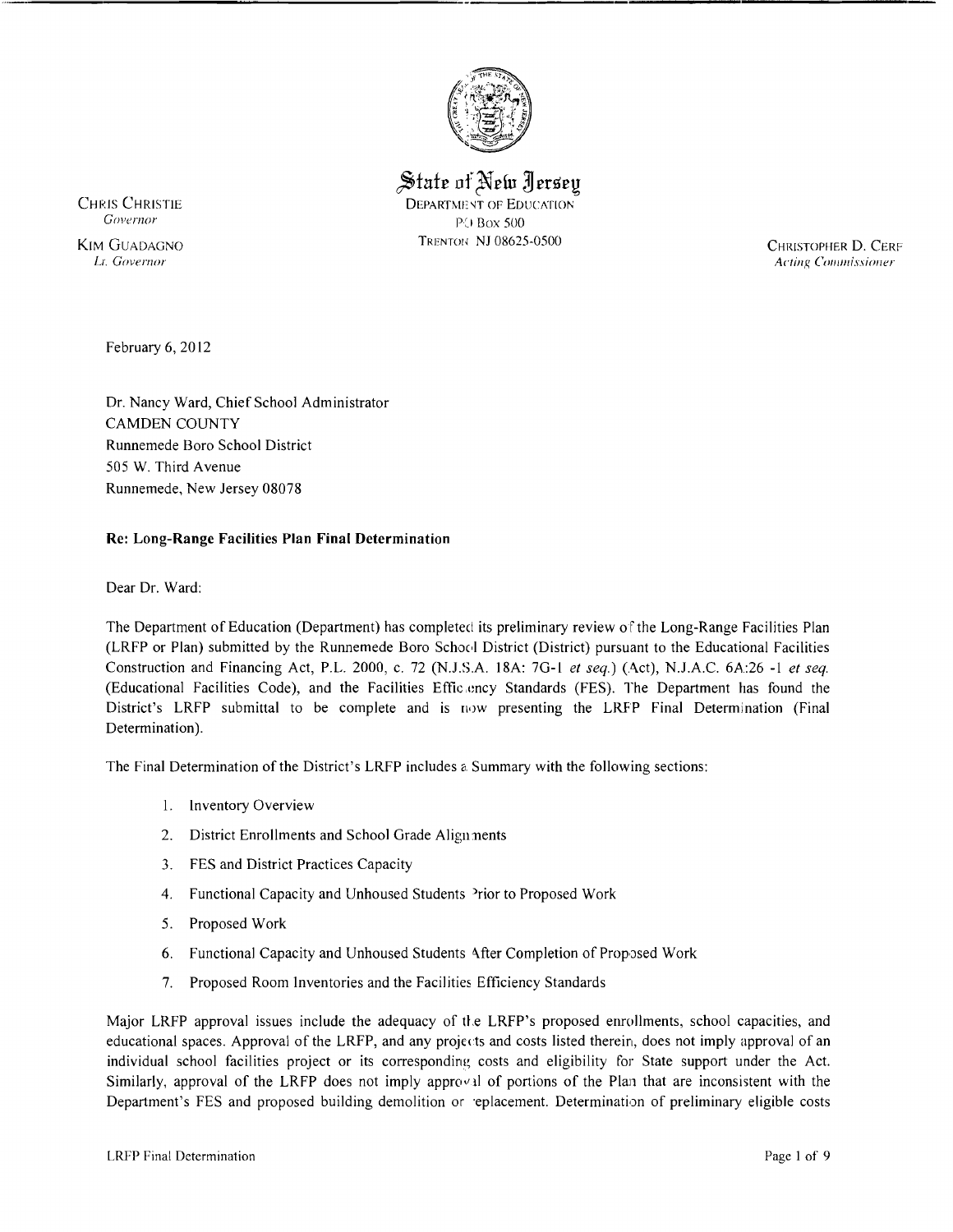

 $\frac{1}{2}$  State of New *Aersey* 

CHRIS CHRISTIE DEPARTMENT OF EDUCATION Governor PO Box 500 TRENTOI' NJ 08625-0500

 KIM GUADAGNO CHRISTOPHER D. CERF Acting Commissioner

February 6, 2012

Dr. Nancy Ward, Chief School Administrator CAMDEN COUNTY Runnemede Boro School District 505 W. Third Avenue Runnemede, New Jersey 08078

## **Re: Long-Range Facilities Plan Final Determination**

Dear Dr. Ward:

The Department of Education (Department) has completed its preliminary review of the Long-Range Facilities Plan (LRFP or Plan) submitted by the Runnemede Boro School District (District) pursuant to the Educational Facilities Construction and Financing Act, P.L. 2000, c. 72 (NJ.S.A. 18A: 7G-I *et seq.)* (Act), NJ.A.C. 6A:26 **-I** *et seq.*  (Educational Facilities Code), and the Facilities Effic ency Standards (FES). The Department has found the District's LRFP submittal to be complete and is now presenting the LRFP Final Determination (Final Determination).

The Final Determination of the District's LRFP includes 8. Summary with the following sections:

- I. Inventory Overview
- 2. District Enrollments and School Grade Align nents
- 3. FES and District Practices Capacity
- 4. Functional Capacity and Unhoused Students <sup>2</sup>rior to Proposed Work
- 5. Proposed Work
- 6. Functional Capacity and Unhoused Students <\fter Completion of Proposed Work
- 7. Proposed Room Inventories and the Facilities Efficiency Standards

Major LRFP approval issues include the adequacy of the LRFP's proposed enrollments, school capacities, and educational spaces. Approval of the LRFP, and any projects and costs listed therein, does not imply approval of an individual school facilities project or its corresponding costs and eligibility for State support under the Act. Similarly, approval of the LRFP does not imply approval of portions of the Plan that are inconsistent with the Department's FES and proposed building demolition or replacement. Determination of preliminary eligible costs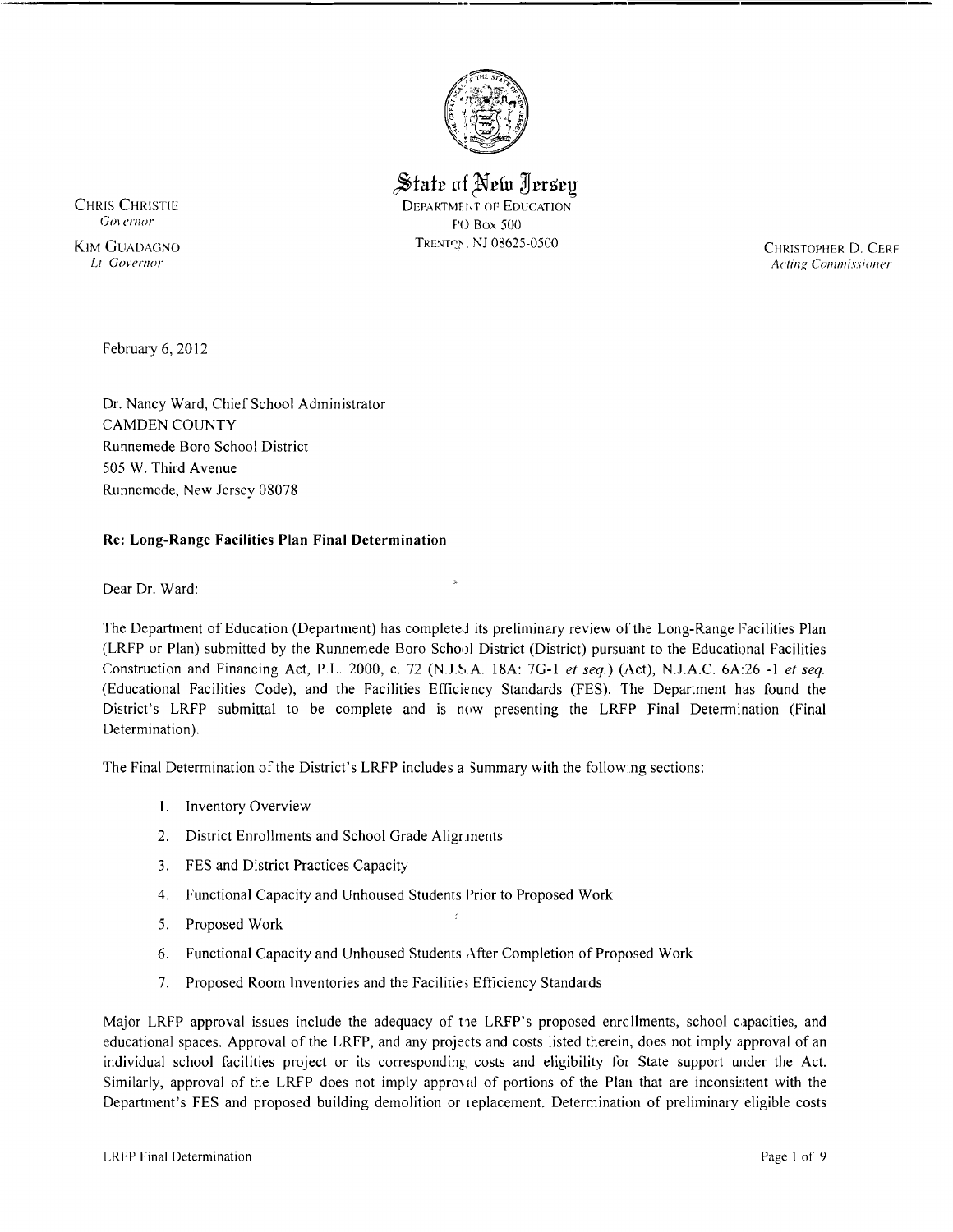

 $\mathcal$  State of New *I* ersev

CHRIS CHRISTIE DEPARTMENT OF EDUCATION Governor PO Box 500 TRENTON, NJ 08625-0500

 KIM GUADACJNO CHRISTOPHER D. CERF Acting Commissioner

February 6, 2012

Dr, Nancy Ward, Chief School Administrator CAMDEN COUNTY Runnemede Bora School District 50S W, Third Avenue Runnemede, New Jersey 08078

# **Re: Long-Range Facilities Plan Final Determination**

Dear Dr, Ward:

The Department of Education (Department) has completed its preliminary review of the Long-Range Facilities Plan (LRFP or Plan) submitted by the Runnemede Boro School District (District) pursuant to the Educational Facilities Construction and Financing Act, P.L. 2000, c. 72 (N.J.S.A. 18A: 7G-1 et seq.) (Act), N.J.A.C. 6A:26 -1 et seq. (Educational Facilities Code), and the Facilities Efficiency Standards (FES). The Department has found the District's LRFP submittal to be complete and is now presenting the LRFP Final Determination (Final Determination).

The Final Determination of the District's LRFP includes a Summary with the following sections:

- I. Inventory Overview
- 2. District Enrollments and School Grade Aligrinents
- 3. FES and District Practices Capacity
- 4. Functional Capacity and Unhoused Students Prior to Proposed Work
- 5, Proposed Work
- 6. Functional Capacity and Unhoused Students After Completion of Proposed Work
- 7. Proposed Room Inventories and the Facilitie, Efficiency Standards

Major LRFP approval issues include the adequacy of t1e LRFP's proposed enrollments, school capacities, and educational spaces. Approval of the LRFP, and any projects and costs listed therein, does not imply approval of an individual school facilities project or its corresponding costs and eligibility for State support under the Act. Similarly, approval of the LRFP does not imply approval of portions of the Plan that are inconsistent with the Department's FES and proposed building demolition or replacement. Determination of preliminary eligible costs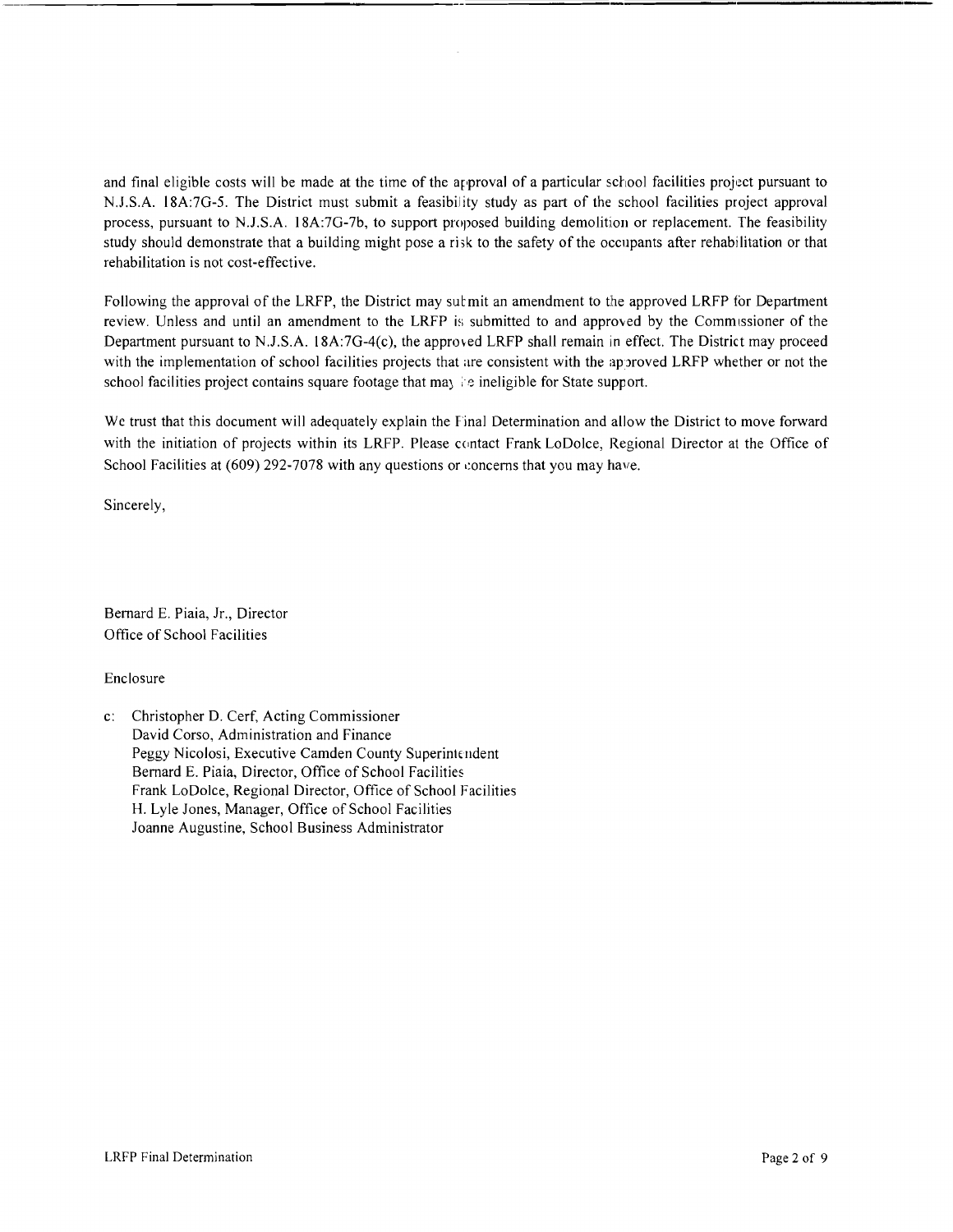and final eligible costs will be made at the time of the argroval of a particular school facilities project pursuant to N.J.S.A. l8A:7G-5. The District must submit a feasibility study as part of the school facilities project approval process, pursuant to N.J.S.A. 18A:7G-7b, to support proposed building demolition or replacement. The feasibility study should demonstrate that a building might pose a risk to the safety of the occupants after rehabilitation or that rehabilitation is not cost-effective.

Following the approval of the LRFP, the District may sult mit an amendment to the approved LRFP for Department review. Unless and until an amendment to the LRFP is submitted to and approved by the Commissioner of the Department pursuant to N.J.S.A. 18A:7G-4(c), the approved LRFP shall remain in effect. The District may proceed with the implementation of school facilities projects that are consistent with the approved LRFP whether or not the school facilities project contains square footage that ma) : *e* ineligible for State support.

We trust that this document will adequately explain the Final Determination and allow the District to move forward with the initiation of projects within its LRFP. Please contact Frank LoDolce, Regional Director at the Office of School Facilities at  $(609)$  292-7078 with any questions or concerns that you may have.

Sincerely,

Bernard E. Piaia, Jr., Director Office of School Facilities

Enclosure

c: Christopher D. Cerf, Acting Commissioner David Corso, Administration and Finance Peggy Nicolosi, Executive Camden County Superintendent Bernard E. Piaia, Director, Office of School Facilities Frank LoDolce, Regional Director, Office of School Facilities H. Lyle Jones, Manager, Office of School Facilities Joanne Augustine, School Business Administrator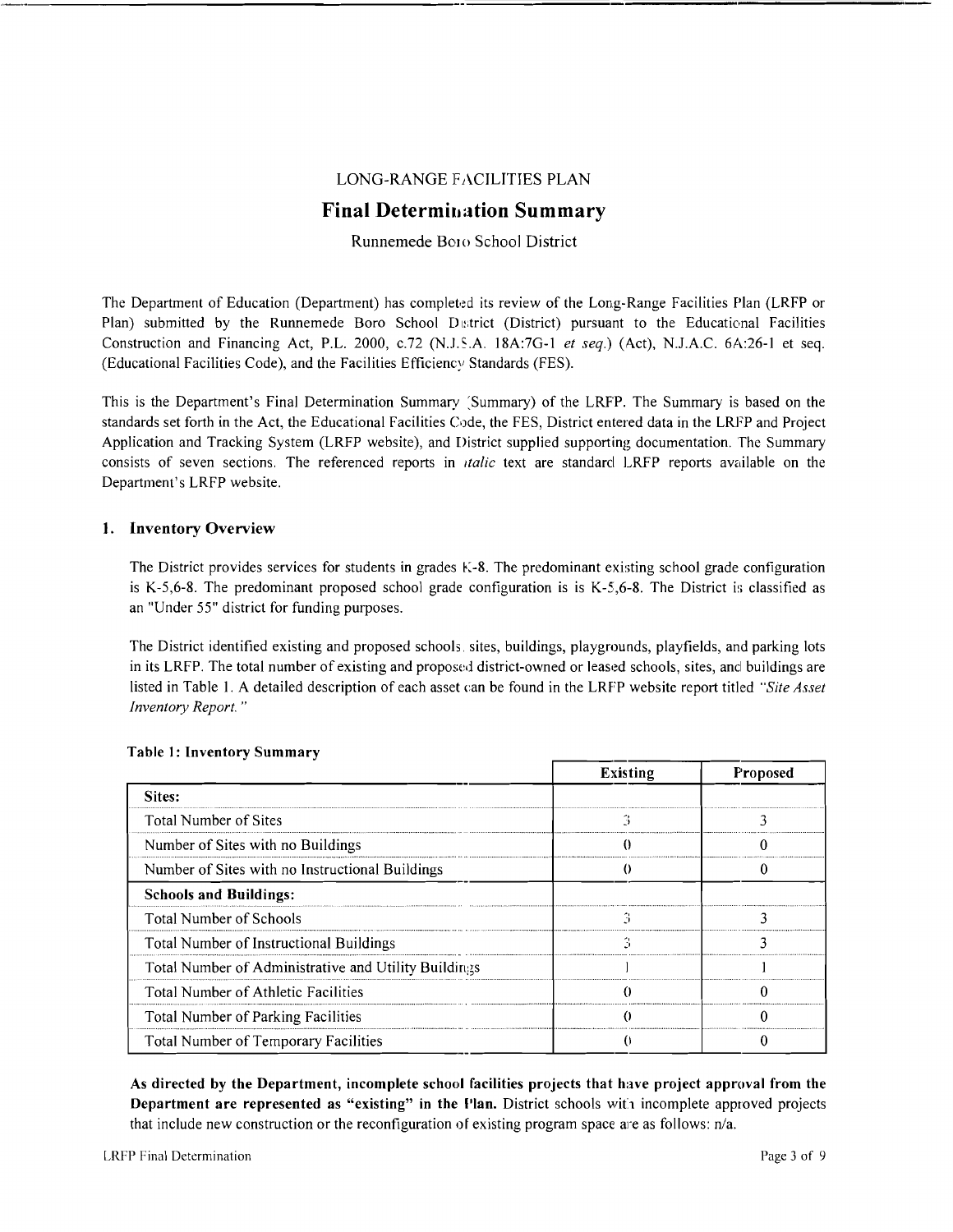## LONG-RANGE FACILITIES PLAN

# **Final Determination Summary**

## Runnemede Boro School District

The Department of Education (Department) has completed its review of the Long-Range Facilities Plan (LRFP or Plan) submitted by the Runnemede Boro School District (District) pursuant to the Educational Facilities Construction and Financing Act, P.L. 2000, *c.72* (N.J.S.A. 18A:7G-1 *et seq.*) (Act), N.J.A.C. 6A:26-1 et seq. (Educational Facilities Code), and the Facilities Efficiency Standards (FES).

This is the Department's Final Determination Summary (Summary) of the LRFP. The Summary is based on the standards set forth in the Act, the Educational Facilities Code, the FES, District entered data in the LRFP and Project Application and Tracking System (LRFP website), and District supplied supporting documentation. The Summary consists of seven sections. The referenced reports in *Italic* text are standard LRFP reports available on the Department's LRFP website.

### 1. Inventory Overview

The District provides services for students in grades K-8. The predominant existing school grade configuration is K-5,6-8. The predominant proposed school grade configuration is is K-5,6-8. The District is classified as an "Under 55" district for funding purposes.

The District identified existing and proposed schools. sites, buildings, playgrounds, playfields, and parking lots in its LRFP. The total number of existing and proposed district-owned or leased schools, sites, and buildings are listed in Table 1. A detailed description of each asset can be found in the LRFP website report titled *"Site Asset Inventory Report. "* 

|                                                      | <b>Existing</b> | Proposed |
|------------------------------------------------------|-----------------|----------|
| Sites:                                               |                 |          |
| <b>Total Number of Sites</b>                         | ۰,              | 1        |
| Number of Sites with no Buildings                    |                 |          |
| Number of Sites with no Instructional Buildings      |                 |          |
| <b>Schools and Buildings:</b>                        |                 |          |
| <b>Total Number of Schools</b>                       |                 |          |
| Total Number of Instructional Buildings              |                 |          |
| Total Number of Administrative and Utility Buildings |                 |          |
| Total Number of Athletic Facilities                  |                 |          |
| Total Number of Parking Facilities                   |                 |          |
| <b>Total Number of Temporary Facilities</b>          |                 |          |

#### Table 1: Inventory Summary

As directed by the Department, incomplete school facilities projects that have project approval from the Department are represented as "existing" in the Plan. District schools with incomplete approved projects that include new construction or the reconfiguration of existing program space are as follows:  $n/a$ .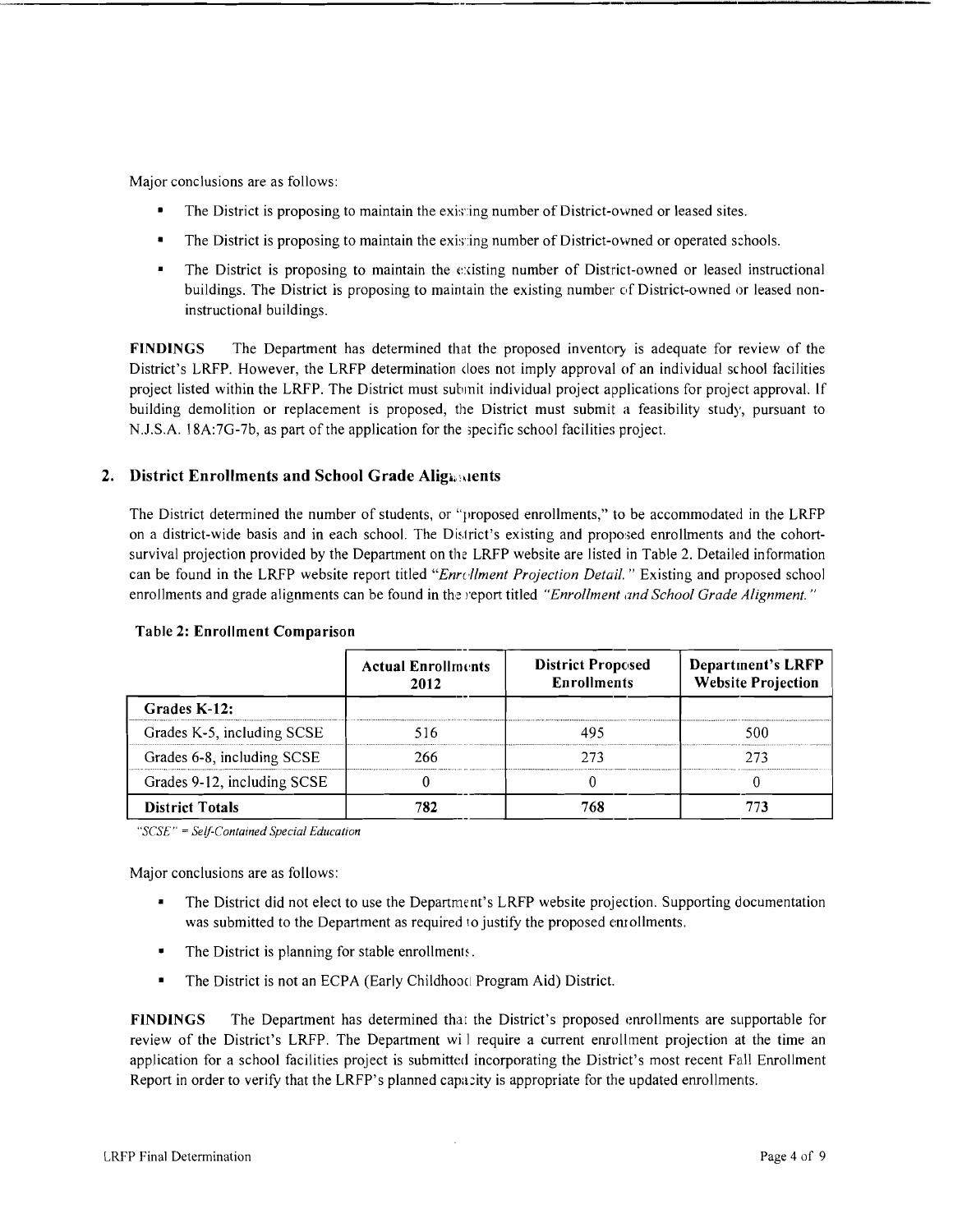Major conclusions are as follows:

- The District is proposing to maintain the existing number of District-owned or leased sites.
- The District is proposing to maintain the existing number of District-owned or operated schools.
- The District is proposing to maintain the existing number of District-owned or leased instructional buildings. The District is proposing to maintain the existing number of District-owned or leased noninstructional buildings.

FINDINGS The Department has determined that the proposed inventory is adequate for review of the District's LRFP. However, the LRFP determination does not imply approval of an individual school facilities project listed within the LRFP. The District must submit individual project applications for project approval. If building demolition or replacement is proposed, the District must submit a feasibility study, pursuant to N.J.S.A. l8A:7G-7b, as part of the application for the ,pecific school facilities project.

## 2. District Enrollments and School Grade Alignments

The District determined the number of students, or "proposed enrollments," to be accommodated in the LRFP on a district-wide basis and in each school. The District's existing and proposed enrollments and the cohortsurvival projection provided by the Department on the LRFP website are listed in Table 2. Detailed information can be found in the LRFP website report titled "Enrellment Projection Detail." Existing and proposed school enrollments and grade alignments can be found in the report titled *"Enrollment and School Grade Alignment. "* 

|                             | <b>Actual Enrollments</b><br>2012 | <b>District Proposed</b><br><b>Enrollments</b> | <b>Department's LRFP</b><br><b>Website Projection</b> |
|-----------------------------|-----------------------------------|------------------------------------------------|-------------------------------------------------------|
| Grades K-12:                |                                   |                                                |                                                       |
| Grades K-5, including SCSE  | 516                               |                                                | 500                                                   |
| Grades 6-8, including SCSE  | 266                               | 773                                            | 273                                                   |
| Grades 9-12, including SCSE |                                   |                                                |                                                       |
| <b>District Totals</b>      | 782                               |                                                |                                                       |

#### Table 2: Enrollment Comparison

*"SCSE"* = *Self-Contained Special Education* 

Major conclusions are as follows:

- The District did not elect to use the Department's LRFP website projection. Supporting documentation was submitted to the Department as required to justify the proposed enrollments.
- The District is planning for stable enrollments.
- The District is not an ECPA (Early Childhood Program Aid) District.

FINDINGS The Department has determined that the District's proposed enrollments are supportable for review of the District's LRFP. The Department wi I require a current enrollment projection at the time an application for a school facilities project is submitted incorporating the District's most recent Fall Enrollment Report in order to verify that the LRFP's planned capacity is appropriate for the updated enrollments.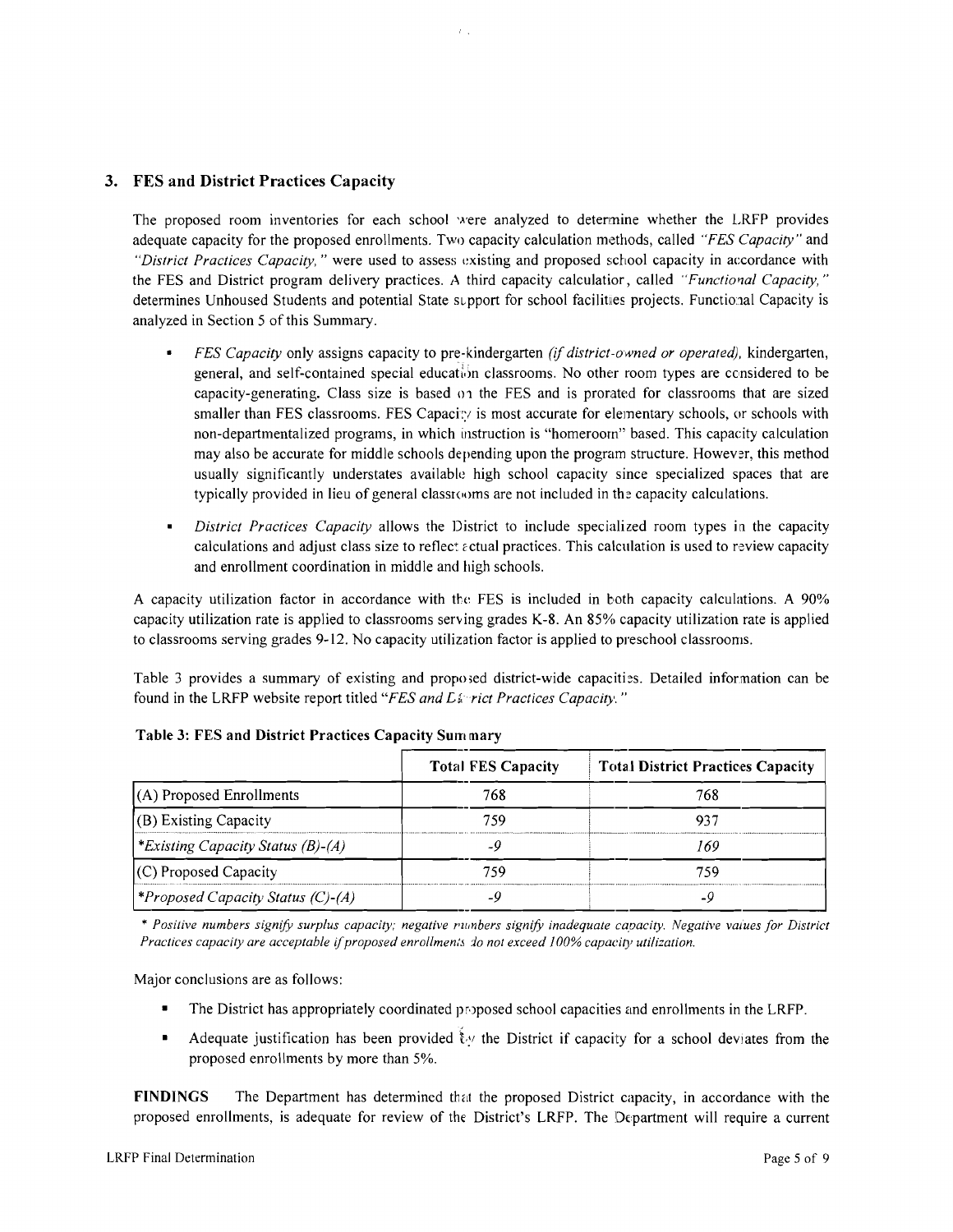## 3. FES and District Practices Capacity

The proposed room inventories for each school were analyzed to detennine whether the LRFP provides adequate capacity for the proposed enrollments. Two capacity calculation methods, called *"FES Capacity"* and "District Practices Capacity," were used to assess existing and proposed school capacity in accordance with the FES and District program delivery practices. A third capacity calculatior, called *"Functional Capacity,"* determines Unhoused Students and potential State support for school facilities projects. Functional Capacity is analyzed in Section 5 of this Summary.

- *FES Capacity* only assigns capacity to pre-kindergarten *(if district-owned or operated),* kindergarten, general, and self-contained special education classrooms. No other room types are considered to be capacity-generating. Class size is based on the FES and is prorated for classrooms that are sized smaller than FES classrooms. FES Capacity is most accurate for elementary schools, or schools with non-departmentalized programs, in which instruction is "homeroom" based. This capacity calculation may also be accurate for middle schools depending upon the program structure. However, this method usually significantly understates available high school capacity since specialized spaces that are typically provided in lieu of general classI(0ms are not included in the capacity calculations.
- *District Practices Capacity* allows the District to include specialized room types in the capacity calculations and adjust class size to reflect  $\varepsilon$  ctual practices. This calculation is used to review capacity and enrollment coordination in middle and high schools.

A capacity utilization factor in accordance with the FES is included in both capacity calculations. A 90% capacity utilization rate is applied to classrooms serving grades K-8. An 85% capacity utilization rate is applied to classrooms serving grades 9-12. No capacity utilization factor is applied to preschool classrooms.

Table 3 provides a summary of existing and proposed district-wide capacities. Detailed information can be found in the LRFP website report titled "FES and L& rict Practices Capacity."

|                                                 | <b>Total FES Capacity</b> | <b>Total District Practices Capacity</b> |
|-------------------------------------------------|---------------------------|------------------------------------------|
| $(A)$ Proposed Enrollments                      | 768                       | 768                                      |
| (B) Existing Capacity                           | 759                       |                                          |
| <i>Existing Capacity Status (B)-(A)</i>         |                           | 160                                      |
| (C) Proposed Capacity                           | 759                       | 759                                      |
| <i><b>*Proposed Capacity Status (C)-(A)</b></i> |                           | -9                                       |

Table 3: FES and District Practices Capacity Sum mary

*Practices capacity are acceptable if proposed enrollments do not exceed 100% capacity utilization.* 

Major conclusions are as follows:

- The District has appropriately coordinated proposed school capacities and enrollments in the LRFP.
- Adequate justification has been provided ty the District if capacity for a school deviates from the proposed enrollments by more than 5%.

FINDINGS The Department has determined that the proposed District capacity, in accordance with the proposed enrollments, is adequate for review of the District's LRFP. The Department will require a current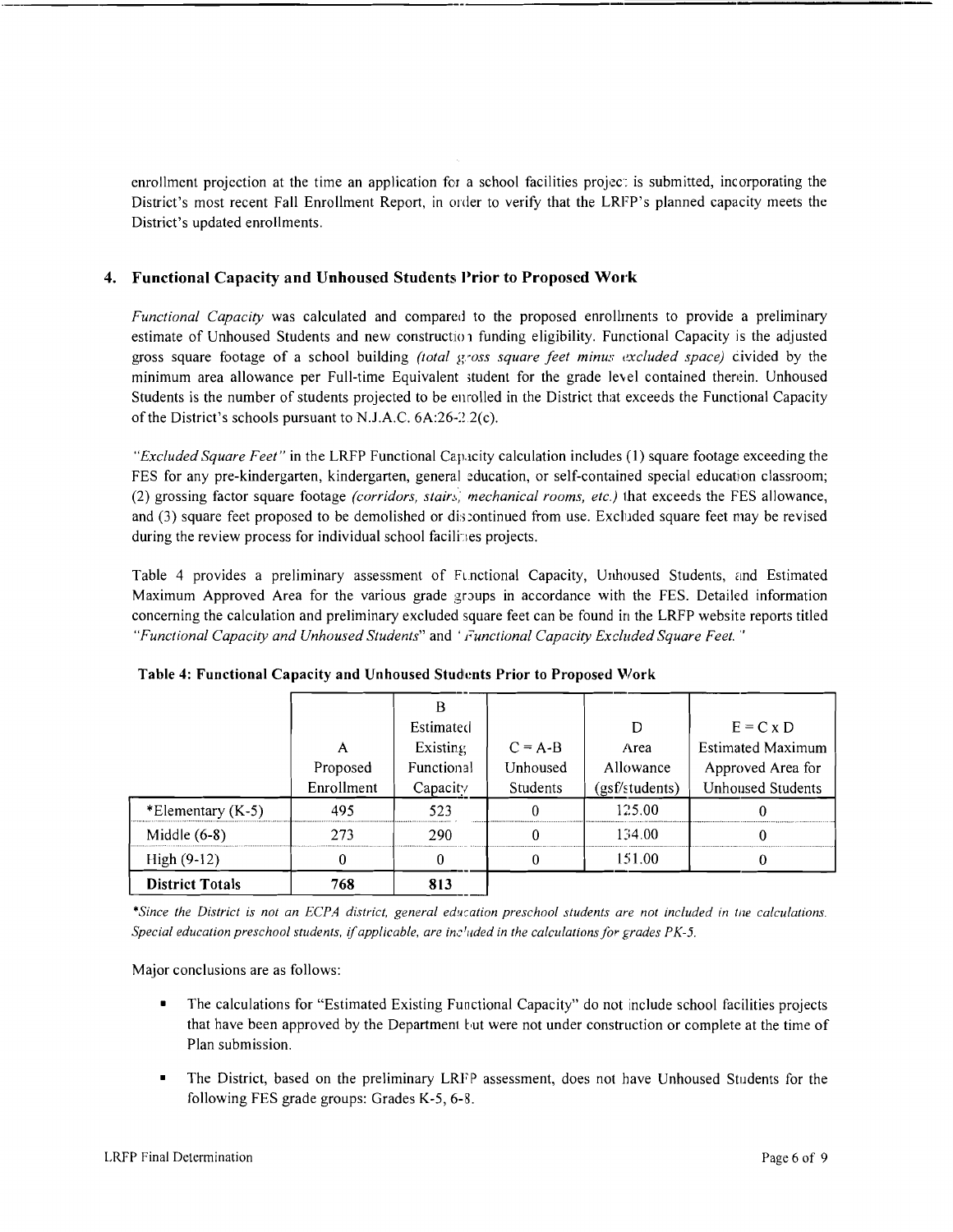enrollment projection at the time an application for a school facilities project is submitted, incorporating the District's most recent Fall Enrollment Report, in order to verify that the LRFP's planned capacity meets the District's updated enrollments.

## 4. Functional Capacity and Unhoused Students Prior to Proposed Work

*Functional Capacity* was calculated and compared to the proposed enrollments to provide a preliminary estimate of Unhoused Students and new construction funding eligibility. Functional Capacity is the adjusted gross square footage of a school building *(total gross square feet minus excluded space)* civided by the minimum area allowance per Full-time Equivalent student for the grade level contained therein. Unhoused Students is the number of students projected to be enrolled in the District that exceeds the Functional Capacity of the District's schools pursuant to N.J.A.C.  $6A:26-2.2(c)$ .

*"Excluded Square Feet"* in the LRFP Functional Cap.icity calculation includes (1) square footage exceeding the FES for any pre-kindergarten, kindergarten, general education, or self-contained special education classroom; (2) grossing factor square footage *(corridors, stain., mechanical rooms, etc.)* that exceeds the FES allowance, and (3) square feet proposed to be demolished or discontinued from use. Excluded square feet may be revised during the review process for individual school facilities projects.

Table 4 provides a preliminary assessment of Functional Capacity, Unhoused Students, and Estimated Maximum Approved Area for the various grade groups in accordance with the FES. Detailed information concerning the calculation and preliminary excluded square feet can be found in the LRFP website reports titled *"Functional Capacity and Unhoused Students"* and' *i'unctional Capacity Excluded Square Feet.* .,

|                        |            | Estimated  |           | D              | $E = C x D$              |
|------------------------|------------|------------|-----------|----------------|--------------------------|
|                        | A          | Existing   | $C = A-B$ | Area           | <b>Estimated Maximum</b> |
|                        | Proposed   | Functional | Unhoused  | Allowance      | Approved Area for        |
|                        | Enrollment | Capacity   | Students  | (gsf/students) | <b>Unhoused Students</b> |
| *Elementary $(K-5)$    | 495        | 523        |           | 125.00         |                          |
| Middle $(6-8)$         | 273        | 290        |           | 134.00         |                          |
| $High (9-12)$          | Ω          | 0          |           | 151.00         |                          |
| <b>District Totals</b> | 768        | 813        |           |                |                          |

Table 4: Functional Capacity and Unhoused Students Prior to Proposed Work

\*Since the District is not an ECPA district, general education preschool students are not included in the calculations. *Special education preschool students.* if*applicable, are inc 'I/ded in the calculations for grades PK-5.* 

Major conclusions are as follows:

- The calculations for "Estimated Existing Functional Capacity" do not include school facilities projects that have been approved by the Department but were not under construction or complete at the time of Plan submission.
- The District, based on the preliminary LRFP assessment, does not have Unhoused Students for the following FES grade groups: Grades K-5, 6-8.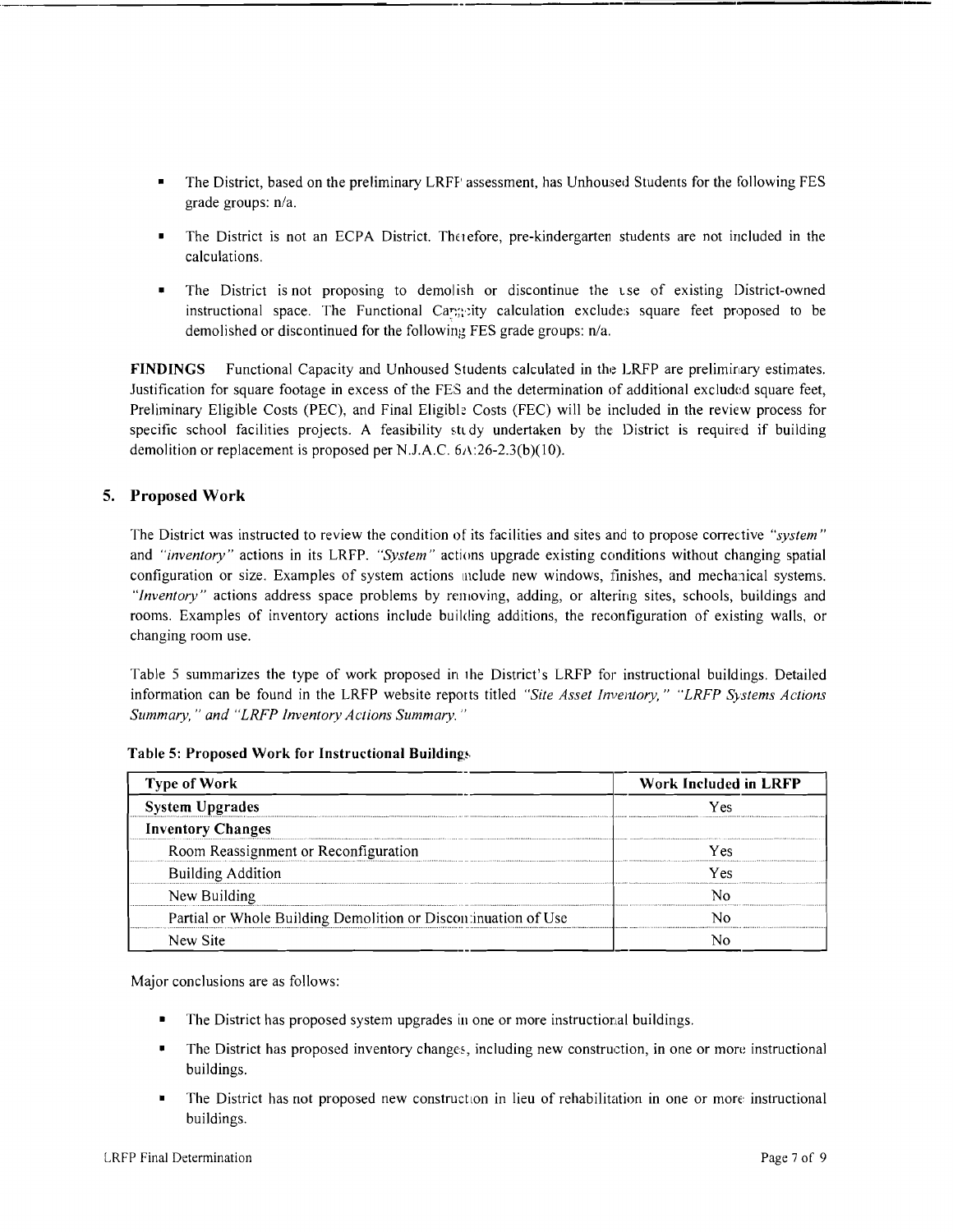- The District, based on the preliminary LRFF' assessment, has Unhoused Students for the following FES grade groups: *n/a.*
- The District is not an ECPA District. The iefore, pre-kindergarten students are not included in the calculations.
- The District is not proposing to demolish or discontinue the use of existing District-owned instructional space. The Functional Caregoity calculation excludes square feet proposed to be demolished or discontinued for the following FES grade groups: n/a.

FINDINGS Functional Capacity and Unhoused Students calculated in the LRFP are preliminary estimates. Justification for square footage in excess of the FES and the determination of additional excluded square feet, Preliminary Eligible Costs (PEC), and Final Eligible Costs (FEC) will be included in the review process for specific school facilities projects. A feasibility study undertaken by the District is required if building demolition or replacement is proposed per NJ.A.C. 6A:26-2.3(b)(1O).

## 5. Proposed Work

The District was instructed to review the condition of its facilities and sites and to propose corrective *"system"*  and *"inventory"* actions in its LRFP. *"System"* actions upgrade existing conditions without changing spatial configuration or size. Examples of system actions include new windows, finishes, and mechanical systems. *"Inventory"* actions address space problems by removing, adding, or altering sites, schools, buildings and rooms. Examples of inventory actions include building additions, the reconfiguration of existing walls, or changing room use.

Table 5 summarizes the type of work proposed in lhe District's LRFP for instructional buildings. Detailed information can be found in the LRFP website reports titled *"Site Asset Inventory," "LRFP Systems Actions Summary,* " *and "LRFP Inventory Actions Summary. "* 

| <b>Type of Work</b>                                            | Work Included in LRFP |  |  |
|----------------------------------------------------------------|-----------------------|--|--|
| <b>System Upgrades</b>                                         | Yes                   |  |  |
| <b>Inventory Changes</b>                                       |                       |  |  |
| Room Reassignment or Reconfiguration                           | Y es                  |  |  |
| <b>Building Addition</b>                                       | Yes                   |  |  |
| New Building                                                   |                       |  |  |
| Partial or Whole Building Demolition or Discontinuation of Use |                       |  |  |
| New Site                                                       |                       |  |  |

Table 5: Proposed Work for Instructional Buildings

Major conclusions are as follows:

- The District has proposed system upgrades in one or more instructional buildings.
- The District has proposed inventory changes, including new construction, in one or more instructional buildings.
- The District has not proposed new construction in lieu of rehabilitation in one or more instructional buildings.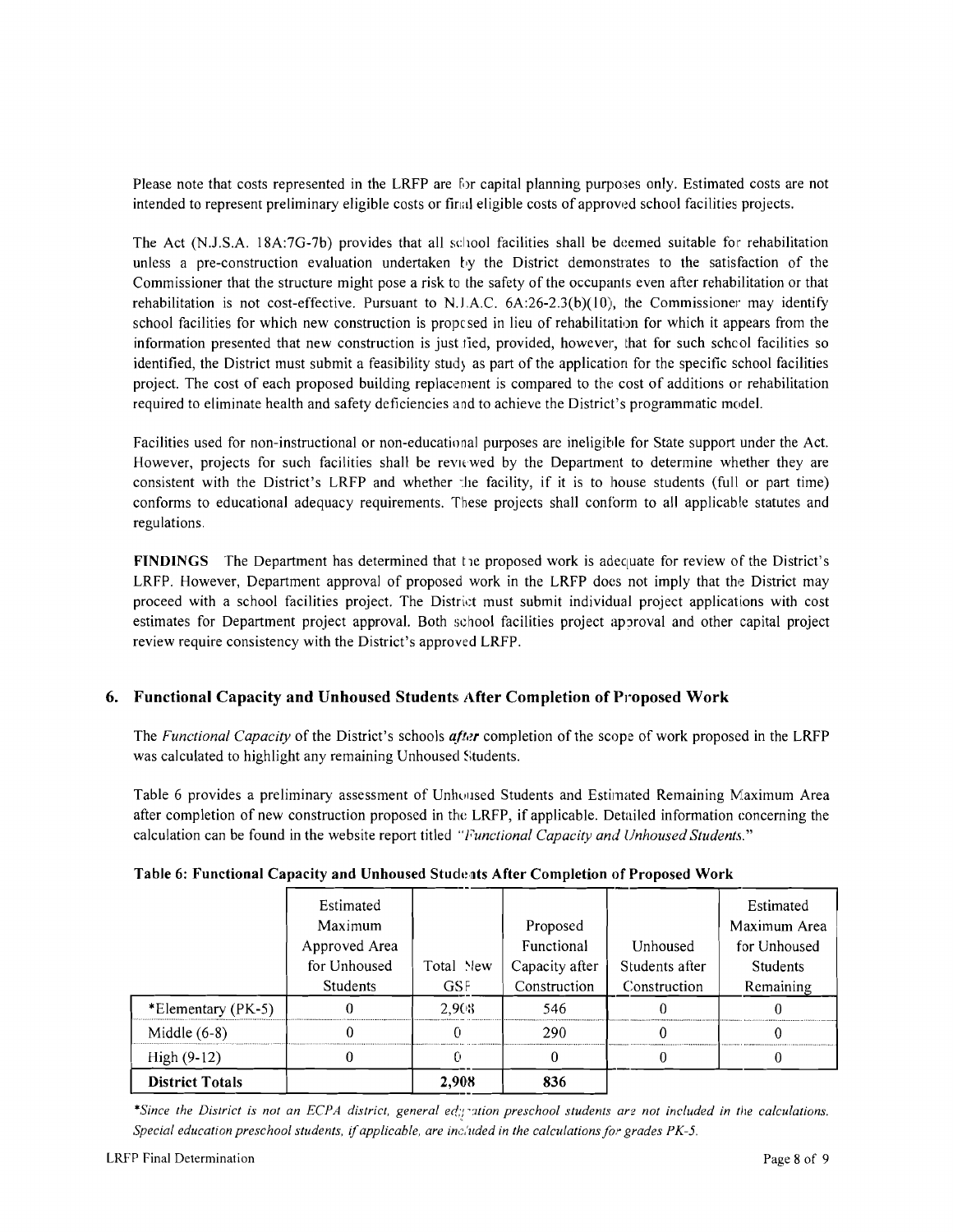Please note that costs represented in the LRFP are for capital planning purposes only. Estimated costs are not intended to represent preliminary eligible costs or final eligible costs of approwd school facilities projects.

The Act (N.J.S.A. 18A:7G-7b) provides that all school facilities shall be deemed suitable for rehabilitation unless a pre-construction evaluation undertaken by the District demonstrates to the satisfaction of the Commissioner that the structure might pose a risk to the safety of the occupants even after rehabilitation or that rehabilitation is not cost-effective. Pursuant to N.J.A.C.  $6A:26-2.3(b)(10)$ , the Commissioner may identify school facilities for which new construction is propc sed in lieu of rehabilitation for which it appears from the information presented that new construction is just lied, provided, however, that for such schcol facilities so identified, the District must submit a feasibility study as part of the application for the specific school facilities project. The cost of each proposed building replacement is compared to the cost of additions or rehabilitation required to eliminate health and safety deficiencies and to achieve the District's programmatic model.

Facilities used for non-instructional or non-educational purposes are ineligible for State support under the Act. However, projects for such facilities shall be reviewed by the Department to determine whether they are consistent with the District's LRFP and whether the facility, if it is to house students (full or part time) conforms to educational adequacy requirements. These projects shall conform to all applicable statutes and regulations.

FINDINGS The Department has determined that the proposed work is adequate for review of the District's LRFP. However, Department approval of proposed work in the LRFP does not imply that the District may proceed with a school facilities project. The District must submit individual project applications with cost estimates for Department project approval. Both school facilities project approval and other capital project review require consistency with the District's approved LRFP.

# 6. Functional Capacity and Unhoused Students After Completion of Proposed Work

The *Functional Capacity* of the District's schools *afler* completion of the scope of work proposed in the LRFP was calculated to highlight any remaining Unhoused Students.

Table 6 provides a preliminary assessment of Unhoused Students and Estimated Remaining Maximum Area after completion of new construction proposed in the LRFP, if applicable. Detailed information concerning the calculation can be found in the website report titled "Functional Capacity and Unhoused Students."

|                        | Estimated       |            |                |                | Estimated       |
|------------------------|-----------------|------------|----------------|----------------|-----------------|
|                        | Maximum         |            | Proposed       |                | Maximum Area    |
|                        | Approved Area   |            | Functional     | Unhoused       | for Unhoused    |
|                        | for Unhoused    | Total New  | Capacity after | Students after | <b>Students</b> |
|                        | <b>Students</b> | <b>GSF</b> | Construction   | Construction   | Remaining       |
| *Elementary (PK-5)     |                 | 2.908      | 546            |                |                 |
| Middle $(6-8)$         |                 |            | 290            |                |                 |
| High $(9-12)$          |                 |            |                |                |                 |
| <b>District Totals</b> |                 | 2.908      | 836            |                |                 |

### Table 6: Functional Capacity and Unhoused Students After Completion of Proposed Work

\*Since the District is not an ECPA district, general ed;testion preschool students are not included in the calculations. *Special education preschool students,* if*applicable, are inc,'uded in the calculations for grades PK-5.*